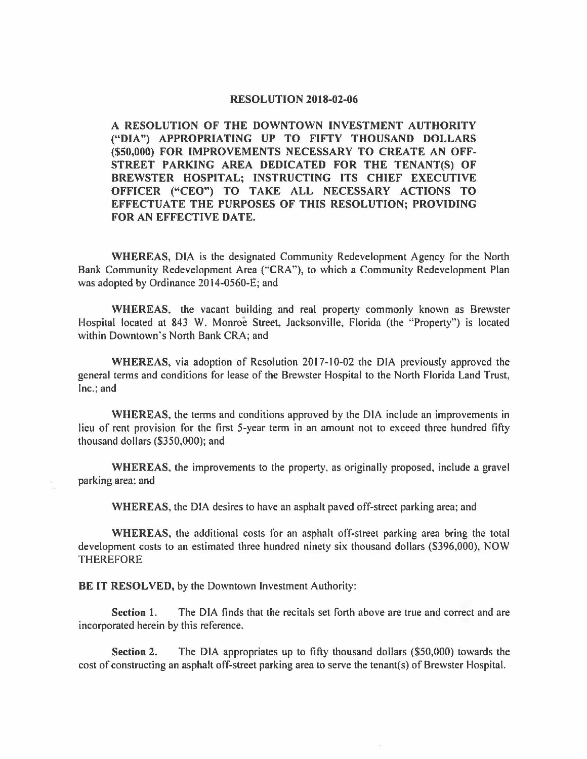## **RESOLUTION 2018-02-06**

**A RESOLUTION OF THE DOWNTOWN INVESTMENT AUTHORITY ("DIA") APPROPRIATING UP TO FIFTY THOUSAND DOLLARS (\$50,000) FOR IMPROVEMENTS NECESSARY TO CREATE AN OFF-STREET PARKING AREA DEDICATED FOR THE TENANT(S) OF BREWSTER HOSPITAL; INSTRUCTING ITS CHIEF EXECUTIVE OFFICER ("CEO") TO TAKE ALL NECESSARY ACTIONS TO EFFECTUATE THE PURPOSES OF THIS RESOLUTION; PROVIDING FOR AN EFFECTIVE DATE.** 

**WHEREAS,** DIA is the designated Community Redevelopment Agency for the North Bank Community Redevelopment Area ("'CRA"), to which a Community Redevelopment Plan was adopted by Ordinance 2014-0560-E; and

**WHEREAS,** the vacant building and real property commonly known as Brewster Hospital located at 843 W. Monroe Street, Jacksonville, Florida (the "Property") is located within Downtown's North Bank CRA; and

**WHEREAS,** via adoption of Resolution 2017-10-02 the DIA previously approved the general terms and conditions for lease of the Brewster Hospital to the North Florida Land Trust, Inc.; and

**WHEREAS,** the terms and conditions approved by the DIA include an improvements in lieu of rent provision for the first 5-year term in an amount not to exceed three hundred fifty thousand dollars (\$350,000); and

**WHEREAS,** the improvements to the property, as originally proposed, include a gravel parking area; and

**WHEREAS,** the DIA desires to have an asphalt paved off-street parking area; and

**WHEREAS,** the additional costs for an asphalt off-street parking area bring the total development costs to an estimated three hundred ninety six thousand dollars (\$396,000), NOW **THEREFORE** 

**BE IT RESOLVED,** by the Downtown Investment Authority:

**Section 1.** The DIA finds that the recitals set forth above are true and correct and are incorporated herein by this reference.

**Section 2.** The DIA appropriates up to fifty thousand dollars (\$50,000) towards the cost of constructing an asphalt off-street parking area to serve the tenant(s) of Brewster Hospital.